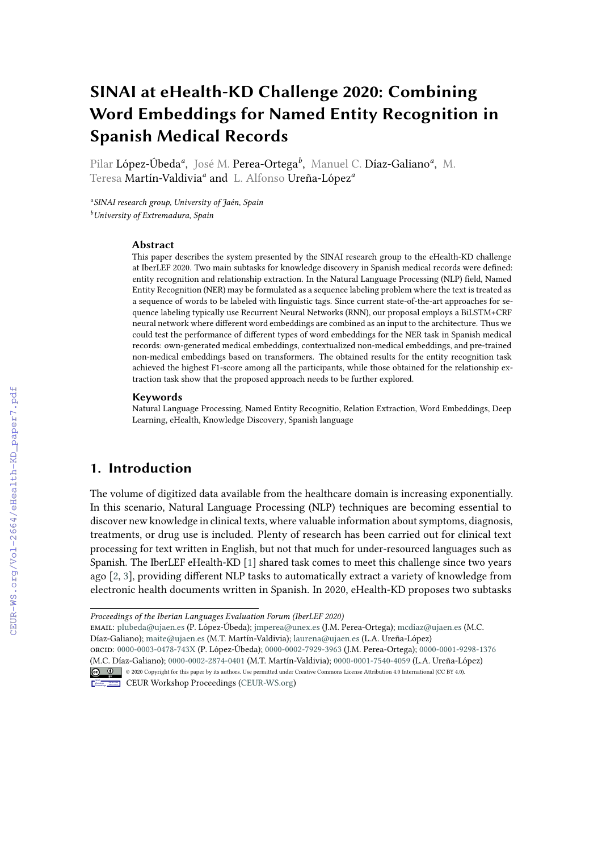# **SINAI at eHealth-KD Challenge 2020: Combining Word Embeddings for Named Entity Recognition in Spanish Medical Records**

Pilar López-Úbeda*<sup>a</sup>* , José M. Perea-Ortega*<sup>b</sup>* , Manuel C. Díaz-Galiano*<sup>a</sup>* , M. Teresa Martín-Valdivia*<sup>a</sup>* and L. Alfonso Ureña-López*<sup>a</sup>*

*a SINAI research group, University of Jaén, Spain <sup>b</sup>University of Extremadura, Spain*

#### **Abstract**

This paper describes the system presented by the SINAI research group to the eHealth-KD challenge at IberLEF 2020. Two main subtasks for knowledge discovery in Spanish medical records were defined: entity recognition and relationship extraction. In the Natural Language Processing (NLP) field, Named Entity Recognition (NER) may be formulated as a sequence labeling problem where the text is treated as a sequence of words to be labeled with linguistic tags. Since current state-of-the-art approaches for sequence labeling typically use Recurrent Neural Networks (RNN), our proposal employs a BiLSTM+CRF neural network where different word embeddings are combined as an input to the architecture. Thus we could test the performance of different types of word embeddings for the NER task in Spanish medical records: own-generated medical embeddings, contextualized non-medical embeddings, and pre-trained non-medical embeddings based on transformers. The obtained results for the entity recognition task achieved the highest F1-score among all the participants, while those obtained for the relationship extraction task show that the proposed approach needs to be further explored.

#### **Keywords**

Natural Language Processing, Named Entity Recognitio, Relation Extraction, Word Embeddings, Deep Learning, eHealth, Knowledge Discovery, Spanish language

## **1. Introduction**

The volume of digitized data available from the healthcare domain is increasing exponentially. In this scenario, Natural Language Processing (NLP) techniques are becoming essential to discover new knowledge in clinical texts, where valuable information about symptoms, diagnosis, treatments, or drug use is included. Plenty of research has been carried out for clinical text processing for text written in English, but not that much for under-resourced languages such as Spanish. The IberLEF eHealth-KD [\[1\]](#page--1-0) shared task comes to meet this challenge since two years ago [\[2,](#page--1-1) [3\]](#page--1-2), providing different NLP tasks to automatically extract a variety of knowledge from electronic health documents written in Spanish. In 2020, eHealth-KD proposes two subtasks

email: [plubeda@ujaen.es](mailto:plubeda@ujaen.es) (P. López-Úbeda); [jmperea@unex.es](mailto:jmperea@unex.es) (J.M. Perea-Ortega); [mcdiaz@ujaen.es](mailto:mcdiaz@ujaen.es) (M.C. Díaz-Galiano); [maite@ujaen.es](mailto:maite@ujaen.es) (M.T. Martín-Valdivia); [laurena@ujaen.es](mailto:laurena@ujaen.es) (L.A. Ureña-López) orcid: [0000-0003-0478-743X](https://orcid.org/0000-0003-0478-743X) (P. López-Úbeda); [0000-0002-7929-3963](https://orcid.org/0000-0002-7929-3963) (J.M. Perea-Ortega); [0000-0001-9298-1376](https://orcid.org/0000-0001-9298-1376)

[\(M.C. Día](https://creativecommons.org/licenses/by/4.0)z-Galiano); [0000-0002-2874-0401](https://orcid.org/0000-0002-2874-0401) (M.T. Martín-Valdivia); [0000-0001-7540-4059](https://orcid.org/0000-0001-7540-4059) (L.A. Ureña-López) © <sup>0</sup> © 2020 Copyright for this paper by its authors. Use permitted under Creative Commons License Attribution 4.0 International (CC BY 4.0).



CEUR Workshop [Proceedings](http://ceur-ws.org) [\(CEUR-WS.org\)](http://ceur-ws.org)

*Proceedings of the Iberian Languages Evaluation Forum (IberLEF 2020)*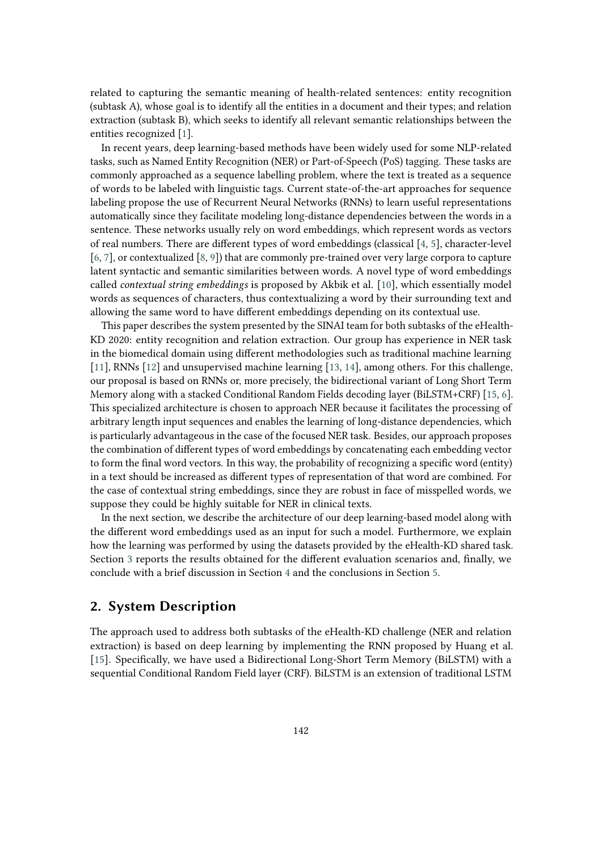related to capturing the semantic meaning of health-related sentences: entity recognition (subtask A), whose goal is to identify all the entities in a document and their types; and relation extraction (subtask B), which seeks to identify all relevant semantic relationships between the entities recognized [\[1\]](#page-7-0).

In recent years, deep learning-based methods have been widely used for some NLP-related tasks, such as Named Entity Recognition (NER) or Part-of-Speech (PoS) tagging. These tasks are commonly approached as a sequence labelling problem, where the text is treated as a sequence of words to be labeled with linguistic tags. Current state-of-the-art approaches for sequence labeling propose the use of Recurrent Neural Networks (RNNs) to learn useful representations automatically since they facilitate modeling long-distance dependencies between the words in a sentence. These networks usually rely on word embeddings, which represent words as vectors of real numbers. There are different types of word embeddings (classical [\[4,](#page-7-1) [5\]](#page-7-2), character-level [\[6,](#page-7-3) [7\]](#page-8-0), or contextualized [\[8,](#page-8-1) [9\]](#page-8-2)) that are commonly pre-trained over very large corpora to capture latent syntactic and semantic similarities between words. A novel type of word embeddings called *contextual string embeddings* is proposed by Akbik et al. [\[10\]](#page-8-3), which essentially model words as sequences of characters, thus contextualizing a word by their surrounding text and allowing the same word to have different embeddings depending on its contextual use.

This paper describes the system presented by the SINAI team for both subtasks of the eHealth-KD 2020: entity recognition and relation extraction. Our group has experience in NER task in the biomedical domain using different methodologies such as traditional machine learning [\[11\]](#page-8-4), RNNs [\[12\]](#page-8-5) and unsupervised machine learning [\[13,](#page-8-6) [14\]](#page-8-7), among others. For this challenge, our proposal is based on RNNs or, more precisely, the bidirectional variant of Long Short Term Memory along with a stacked Conditional Random Fields decoding layer (BiLSTM+CRF) [\[15,](#page-8-8) [6\]](#page-7-3). This specialized architecture is chosen to approach NER because it facilitates the processing of arbitrary length input sequences and enables the learning of long-distance dependencies, which is particularly advantageous in the case of the focused NER task. Besides, our approach proposes the combination of different types of word embeddings by concatenating each embedding vector to form the final word vectors. In this way, the probability of recognizing a specific word (entity) in a text should be increased as different types of representation of that word are combined. For the case of contextual string embeddings, since they are robust in face of misspelled words, we suppose they could be highly suitable for NER in clinical texts.

In the next section, we describe the architecture of our deep learning-based model along with the different word embeddings used as an input for such a model. Furthermore, we explain how the learning was performed by using the datasets provided by the eHealth-KD shared task. Section [3](#page-4-0) reports the results obtained for the different evaluation scenarios and, finally, we conclude with a brief discussion in Section [4](#page-5-0) and the conclusions in Section [5.](#page-6-0)

## <span id="page-1-0"></span>**2. System Description**

The approach used to address both subtasks of the eHealth-KD challenge (NER and relation extraction) is based on deep learning by implementing the RNN proposed by Huang et al. [\[15\]](#page-8-8). Specifically, we have used a Bidirectional Long-Short Term Memory (BiLSTM) with a sequential Conditional Random Field layer (CRF). BiLSTM is an extension of traditional LSTM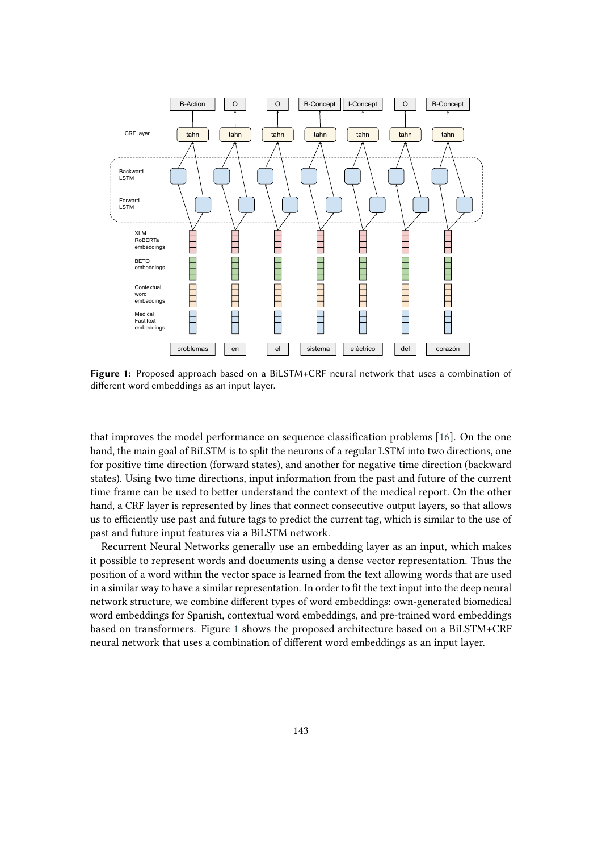

<span id="page-2-0"></span>**Figure 1:** Proposed approach based on a BiLSTM+CRF neural network that uses a combination of different word embeddings as an input layer.

that improves the model performance on sequence classification problems [\[16\]](#page-8-9). On the one hand, the main goal of BiLSTM is to split the neurons of a regular LSTM into two directions, one for positive time direction (forward states), and another for negative time direction (backward states). Using two time directions, input information from the past and future of the current time frame can be used to better understand the context of the medical report. On the other hand, a CRF layer is represented by lines that connect consecutive output layers, so that allows us to efficiently use past and future tags to predict the current tag, which is similar to the use of past and future input features via a BiLSTM network.

Recurrent Neural Networks generally use an embedding layer as an input, which makes it possible to represent words and documents using a dense vector representation. Thus the position of a word within the vector space is learned from the text allowing words that are used in a similar way to have a similar representation. In order to fit the text input into the deep neural network structure, we combine different types of word embeddings: own-generated biomedical word embeddings for Spanish, contextual word embeddings, and pre-trained word embeddings based on transformers. Figure [1](#page-2-0) shows the proposed architecture based on a BiLSTM+CRF neural network that uses a combination of different word embeddings as an input layer.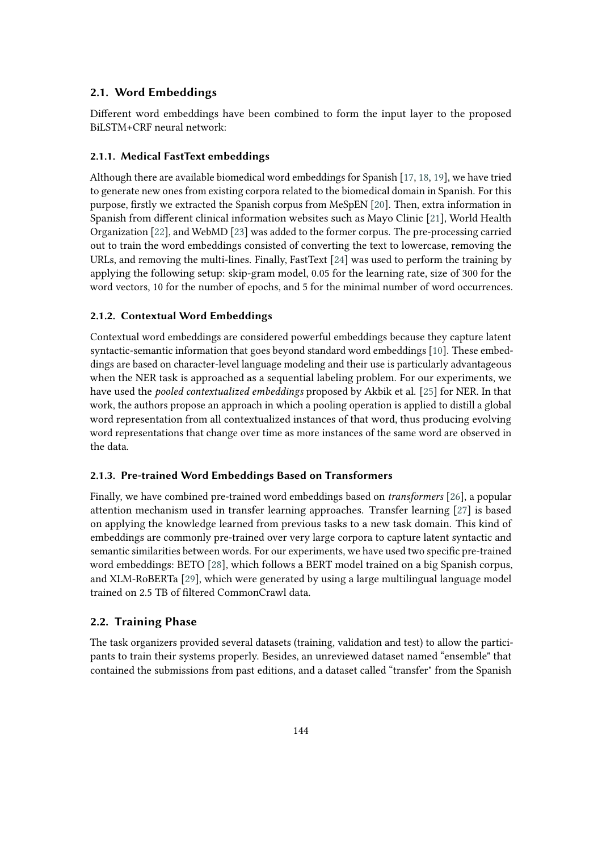## **2.1. Word Embeddings**

Different word embeddings have been combined to form the input layer to the proposed BiLSTM+CRF neural network:

#### **2.1.1. Medical FastText embeddings**

Although there are available biomedical word embeddings for Spanish [\[17,](#page-8-10) [18,](#page-8-11) [19\]](#page-8-12), we have tried to generate new ones from existing corpora related to the biomedical domain in Spanish. For this purpose, firstly we extracted the Spanish corpus from MeSpEN [\[20\]](#page-9-0). Then, extra information in Spanish from different clinical information websites such as Mayo Clinic [\[21\]](#page-9-1), World Health Organization [\[22\]](#page-9-2), and WebMD [\[23\]](#page-9-3) was added to the former corpus. The pre-processing carried out to train the word embeddings consisted of converting the text to lowercase, removing the URLs, and removing the multi-lines. Finally, FastText [\[24\]](#page-9-4) was used to perform the training by applying the following setup: skip-gram model, 0.05 for the learning rate, size of 300 for the word vectors, 10 for the number of epochs, and 5 for the minimal number of word occurrences.

#### **2.1.2. Contextual Word Embeddings**

Contextual word embeddings are considered powerful embeddings because they capture latent syntactic-semantic information that goes beyond standard word embeddings [\[10\]](#page-8-3). These embeddings are based on character-level language modeling and their use is particularly advantageous when the NER task is approached as a sequential labeling problem. For our experiments, we have used the *pooled contextualized embeddings* proposed by Akbik et al. [\[25\]](#page-9-5) for NER. In that work, the authors propose an approach in which a pooling operation is applied to distill a global word representation from all contextualized instances of that word, thus producing evolving word representations that change over time as more instances of the same word are observed in the data.

#### **2.1.3. Pre-trained Word Embeddings Based on Transformers**

Finally, we have combined pre-trained word embeddings based on *transformers* [\[26\]](#page-9-6), a popular attention mechanism used in transfer learning approaches. Transfer learning [\[27\]](#page-9-7) is based on applying the knowledge learned from previous tasks to a new task domain. This kind of embeddings are commonly pre-trained over very large corpora to capture latent syntactic and semantic similarities between words. For our experiments, we have used two specific pre-trained word embeddings: BETO [\[28\]](#page-9-8), which follows a BERT model trained on a big Spanish corpus, and XLM-RoBERTa [\[29\]](#page-9-9), which were generated by using a large multilingual language model trained on 2.5 TB of filtered CommonCrawl data.

## **2.2. Training Phase**

The task organizers provided several datasets (training, validation and test) to allow the participants to train their systems properly. Besides, an unreviewed dataset named "ensemble" that contained the submissions from past editions, and a dataset called "transfer" from the Spanish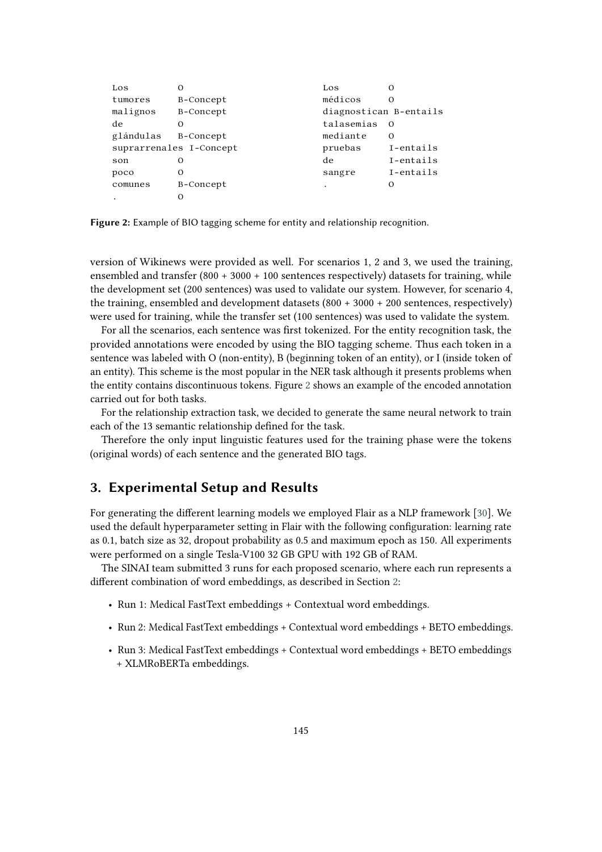| Los       | $\left( \right)$        | Los                    |           |
|-----------|-------------------------|------------------------|-----------|
| tumores   | B-Concept               | médicos                | Ω         |
| malignos  | B-Concept               | diagnostican B-entails |           |
| de        | Ω                       | talasemias             | Ω         |
| glándulas | B-Concept               | mediante               | O         |
|           | suprarrenales I-Concept | pruebas                | I-entails |
| son       | $\mathcal{L}$           | de                     | I-entails |
| poco      | Ω                       | sangre                 | I-entails |
| comunes   | B-Concept               | ٠                      |           |
|           |                         |                        |           |

<span id="page-4-1"></span>**Figure 2:** Example of BIO tagging scheme for entity and relationship recognition.

version of Wikinews were provided as well. For scenarios 1, 2 and 3, we used the training, ensembled and transfer  $(800 + 3000 + 100$  sentences respectively) datasets for training, while the development set (200 sentences) was used to validate our system. However, for scenario 4, the training, ensembled and development datasets (800 + 3000 + 200 sentences, respectively) were used for training, while the transfer set (100 sentences) was used to validate the system.

For all the scenarios, each sentence was first tokenized. For the entity recognition task, the provided annotations were encoded by using the BIO tagging scheme. Thus each token in a sentence was labeled with O (non-entity), B (beginning token of an entity), or I (inside token of an entity). This scheme is the most popular in the NER task although it presents problems when the entity contains discontinuous tokens. Figure [2](#page-4-1) shows an example of the encoded annotation carried out for both tasks.

For the relationship extraction task, we decided to generate the same neural network to train each of the 13 semantic relationship defined for the task.

Therefore the only input linguistic features used for the training phase were the tokens (original words) of each sentence and the generated BIO tags.

## <span id="page-4-0"></span>**3. Experimental Setup and Results**

For generating the different learning models we employed Flair as a NLP framework [\[30\]](#page-9-10). We used the default hyperparameter setting in Flair with the following configuration: learning rate as 0.1, batch size as 32, dropout probability as 0.5 and maximum epoch as 150. All experiments were performed on a single Tesla-V100 32 GB GPU with 192 GB of RAM.

The SINAI team submitted 3 runs for each proposed scenario, where each run represents a different combination of word embeddings, as described in Section [2:](#page-1-0)

- Run 1: Medical FastText embeddings + Contextual word embeddings.
- Run 2: Medical FastText embeddings + Contextual word embeddings + BETO embeddings.
- Run 3: Medical FastText embeddings + Contextual word embeddings + BETO embeddings + XLMRoBERTa embeddings.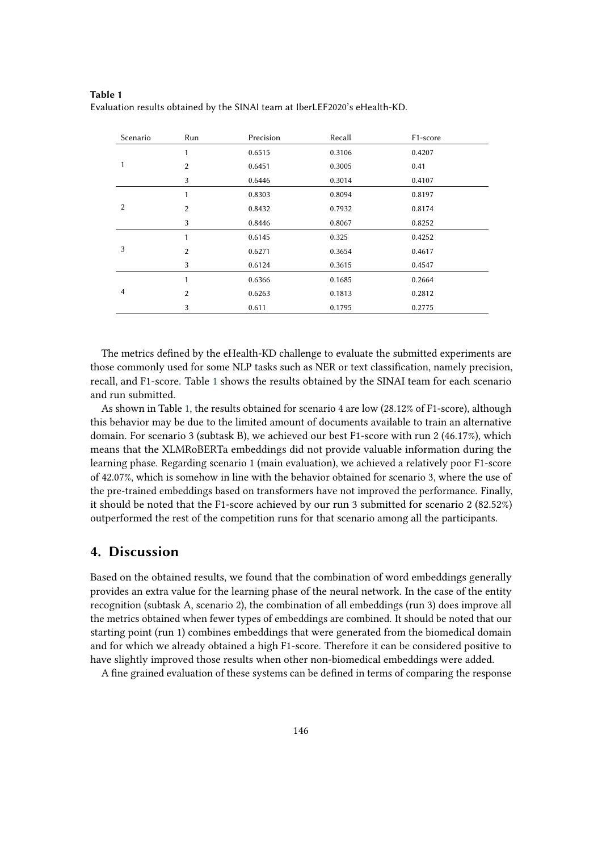| Scenario       | Run            | Precision | Recall | F1-score |  |
|----------------|----------------|-----------|--------|----------|--|
|                | 1              | 0.6515    | 0.3106 | 0.4207   |  |
|                | $\overline{2}$ | 0.6451    | 0.3005 | 0.41     |  |
|                | 3              | 0.6446    | 0.3014 | 0.4107   |  |
|                | $\mathbf{1}$   | 0.8303    | 0.8094 | 0.8197   |  |
| 2              | $\overline{2}$ | 0.8432    | 0.7932 | 0.8174   |  |
|                | 3              | 0.8446    | 0.8067 | 0.8252   |  |
|                | 1              | 0.6145    | 0.325  | 0.4252   |  |
| 3              | $\overline{2}$ | 0.6271    | 0.3654 | 0.4617   |  |
|                | 3              | 0.6124    | 0.3615 | 0.4547   |  |
| $\overline{4}$ | $\mathbf{1}$   | 0.6366    | 0.1685 | 0.2664   |  |
|                | $\overline{2}$ | 0.6263    | 0.1813 | 0.2812   |  |
|                | 3              | 0.611     | 0.1795 | 0.2775   |  |

<span id="page-5-1"></span>**Table 1** Evaluation results obtained by the SINAI team at IberLEF2020's eHealth-KD.

The metrics defined by the eHealth-KD challenge to evaluate the submitted experiments are those commonly used for some NLP tasks such as NER or text classification, namely precision, recall, and F1-score. Table [1](#page-5-1) shows the results obtained by the SINAI team for each scenario and run submitted.

As shown in Table [1,](#page-5-1) the results obtained for scenario 4 are low (28.12% of F1-score), although this behavior may be due to the limited amount of documents available to train an alternative domain. For scenario 3 (subtask B), we achieved our best F1-score with run 2 (46.17%), which means that the XLMRoBERTa embeddings did not provide valuable information during the learning phase. Regarding scenario 1 (main evaluation), we achieved a relatively poor F1-score of 42.07%, which is somehow in line with the behavior obtained for scenario 3, where the use of the pre-trained embeddings based on transformers have not improved the performance. Finally, it should be noted that the F1-score achieved by our run 3 submitted for scenario 2 (82.52%) outperformed the rest of the competition runs for that scenario among all the participants.

## <span id="page-5-0"></span>**4. Discussion**

Based on the obtained results, we found that the combination of word embeddings generally provides an extra value for the learning phase of the neural network. In the case of the entity recognition (subtask A, scenario 2), the combination of all embeddings (run 3) does improve all the metrics obtained when fewer types of embeddings are combined. It should be noted that our starting point (run 1) combines embeddings that were generated from the biomedical domain and for which we already obtained a high F1-score. Therefore it can be considered positive to have slightly improved those results when other non-biomedical embeddings were added.

A fine grained evaluation of these systems can be defined in terms of comparing the response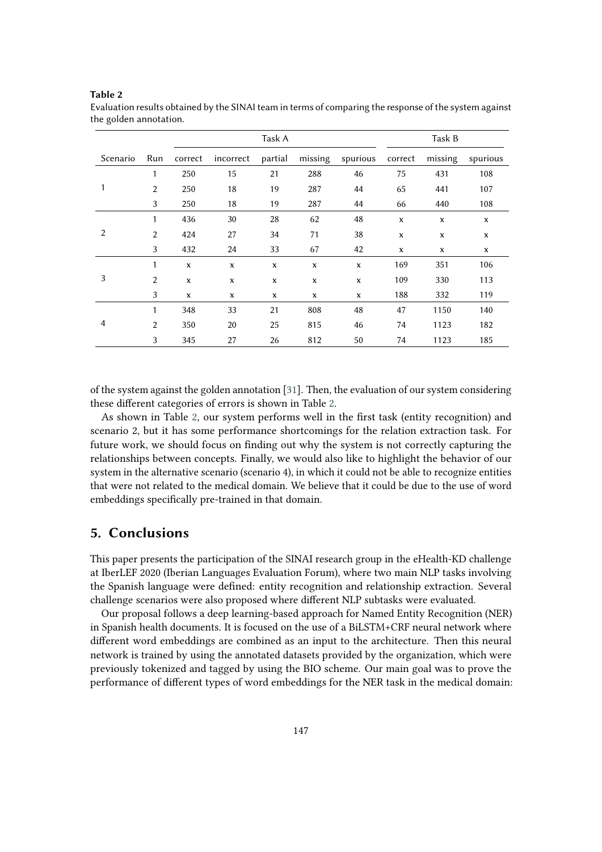|          |                | Task A      |              |         |         | Task B   |              |         |             |
|----------|----------------|-------------|--------------|---------|---------|----------|--------------|---------|-------------|
| Scenario | Run            | correct     | incorrect    | partial | missing | spurious | correct      | missing | spurious    |
|          | 1              | 250         | 15           | 21      | 288     | 46       | 75           | 431     | 108         |
| 1        | $\overline{2}$ | 250         | 18           | 19      | 287     | 44       | 65           | 441     | 107         |
|          | 3              | 250         | 18           | 19      | 287     | 44       | 66           | 440     | 108         |
|          | $\mathbf{1}$   | 436         | 30           | 28      | 62      | 48       | X            | X       | X           |
| 2        | $\overline{2}$ | 424         | 27           | 34      | 71      | 38       | $\mathbf x$  | X       | $\mathbf x$ |
|          | 3              | 432         | 24           | 33      | 67      | 42       | $\mathbf{x}$ | X       | x           |
|          | $\mathbf{1}$   | $\mathbf x$ | X            | X       | X       | X        | 169          | 351     | 106         |
| 3        | $\overline{2}$ | $\mathbf x$ | $\mathbf{x}$ | X       | X       | X        | 109          | 330     | 113         |
|          | 3              | X           | x            | x       | X       | X        | 188          | 332     | 119         |
| 4        | 1              | 348         | 33           | 21      | 808     | 48       | 47           | 1150    | 140         |
|          | $\overline{2}$ | 350         | 20           | 25      | 815     | 46       | 74           | 1123    | 182         |
|          | 3              | 345         | 27           | 26      | 812     | 50       | 74           | 1123    | 185         |

<span id="page-6-1"></span>Evaluation results obtained by the SINAI team in terms of comparing the response of the system against the golden annotation.

of the system against the golden annotation [\[31\]](#page-9-11). Then, the evaluation of our system considering these different categories of errors is shown in Table [2.](#page-6-1)

As shown in Table [2,](#page-6-1) our system performs well in the first task (entity recognition) and scenario 2, but it has some performance shortcomings for the relation extraction task. For future work, we should focus on finding out why the system is not correctly capturing the relationships between concepts. Finally, we would also like to highlight the behavior of our system in the alternative scenario (scenario 4), in which it could not be able to recognize entities that were not related to the medical domain. We believe that it could be due to the use of word embeddings specifically pre-trained in that domain.

## <span id="page-6-0"></span>**5. Conclusions**

**Table 2**

This paper presents the participation of the SINAI research group in the eHealth-KD challenge at IberLEF 2020 (Iberian Languages Evaluation Forum), where two main NLP tasks involving the Spanish language were defined: entity recognition and relationship extraction. Several challenge scenarios were also proposed where different NLP subtasks were evaluated.

Our proposal follows a deep learning-based approach for Named Entity Recognition (NER) in Spanish health documents. It is focused on the use of a BiLSTM+CRF neural network where different word embeddings are combined as an input to the architecture. Then this neural network is trained by using the annotated datasets provided by the organization, which were previously tokenized and tagged by using the BIO scheme. Our main goal was to prove the performance of different types of word embeddings for the NER task in the medical domain: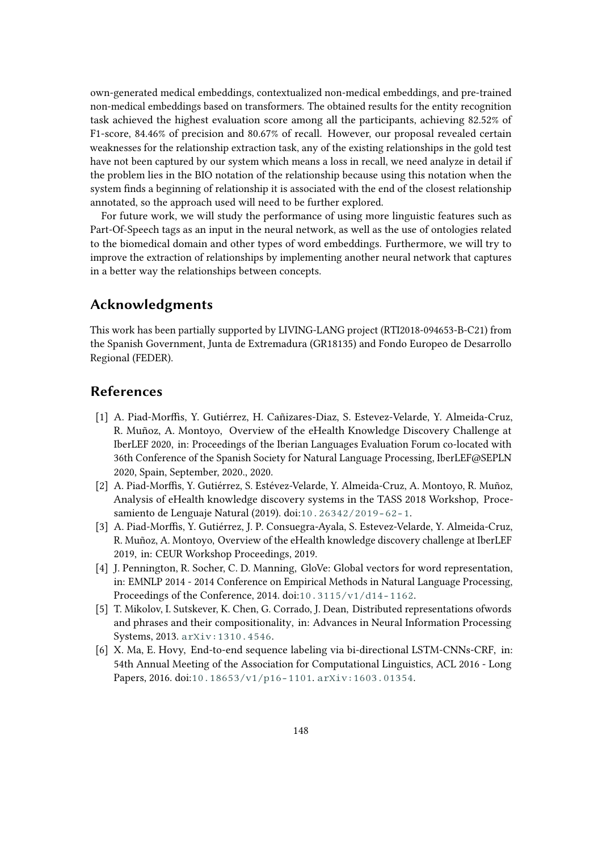own-generated medical embeddings, contextualized non-medical embeddings, and pre-trained non-medical embeddings based on transformers. The obtained results for the entity recognition task achieved the highest evaluation score among all the participants, achieving 82.52% of F1-score, 84.46% of precision and 80.67% of recall. However, our proposal revealed certain weaknesses for the relationship extraction task, any of the existing relationships in the gold test have not been captured by our system which means a loss in recall, we need analyze in detail if the problem lies in the BIO notation of the relationship because using this notation when the system finds a beginning of relationship it is associated with the end of the closest relationship annotated, so the approach used will need to be further explored.

For future work, we will study the performance of using more linguistic features such as Part-Of-Speech tags as an input in the neural network, as well as the use of ontologies related to the biomedical domain and other types of word embeddings. Furthermore, we will try to improve the extraction of relationships by implementing another neural network that captures in a better way the relationships between concepts.

# **Acknowledgments**

This work has been partially supported by LIVING-LANG project (RTI2018-094653-B-C21) from the Spanish Government, Junta de Extremadura (GR18135) and Fondo Europeo de Desarrollo Regional (FEDER).

## **References**

- <span id="page-7-0"></span>[1] A. Piad-Morffis, Y. Gutiérrez, H. Cañizares-Diaz, S. Estevez-Velarde, Y. Almeida-Cruz, R. Muñoz, A. Montoyo, Overview of the eHealth Knowledge Discovery Challenge at IberLEF 2020, in: Proceedings of the Iberian Languages Evaluation Forum co-located with 36th Conference of the Spanish Society for Natural Language Processing, IberLEF@SEPLN 2020, Spain, September, 2020., 2020.
- [2] A. Piad-Morffis, Y. Gutiérrez, S. Estévez-Velarde, Y. Almeida-Cruz, A. Montoyo, R. Muñoz, Analysis of eHealth knowledge discovery systems in the TASS 2018 Workshop, Procesamiento de Lenguaje Natural (2019). doi:[10.26342/2019-62-1](http://dx.doi.org/10.26342/2019-62-1).
- [3] A. Piad-Morffis, Y. Gutiérrez, J. P. Consuegra-Ayala, S. Estevez-Velarde, Y. Almeida-Cruz, R. Muñoz, A. Montoyo, Overview of the eHealth knowledge discovery challenge at IberLEF 2019, in: CEUR Workshop Proceedings, 2019.
- <span id="page-7-1"></span>[4] J. Pennington, R. Socher, C. D. Manning, GloVe: Global vectors for word representation, in: EMNLP 2014 - 2014 Conference on Empirical Methods in Natural Language Processing, Proceedings of the Conference, 2014. doi:[10.3115/v1/d14-1162](http://dx.doi.org/10.3115/v1/d14-1162).
- <span id="page-7-2"></span>[5] T. Mikolov, I. Sutskever, K. Chen, G. Corrado, J. Dean, Distributed representations ofwords and phrases and their compositionality, in: Advances in Neural Information Processing Systems, 2013. [arXiv:1310.4546](http://arxiv.org/abs/1310.4546).
- <span id="page-7-3"></span>[6] X. Ma, E. Hovy, End-to-end sequence labeling via bi-directional LSTM-CNNs-CRF, in: 54th Annual Meeting of the Association for Computational Linguistics, ACL 2016 - Long Papers, 2016. doi:[10.18653/v1/p16-1101](http://dx.doi.org/10.18653/v1/p16-1101). [arXiv:1603.01354](http://arxiv.org/abs/1603.01354).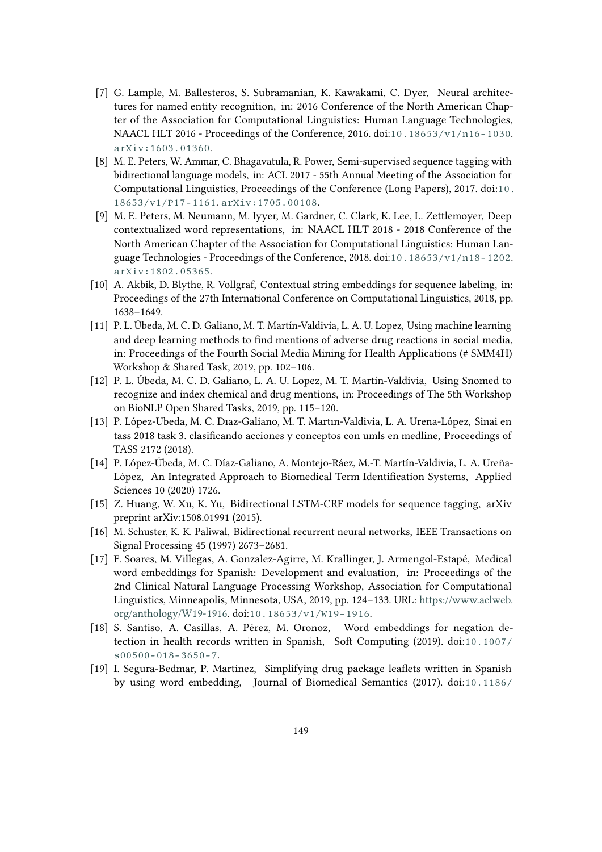- <span id="page-8-0"></span>[7] G. Lample, M. Ballesteros, S. Subramanian, K. Kawakami, C. Dyer, Neural architectures for named entity recognition, in: 2016 Conference of the North American Chapter of the Association for Computational Linguistics: Human Language Technologies, NAACL HLT 2016 - Proceedings of the Conference, 2016. doi:[10.18653/v1/n16-1030](http://dx.doi.org/10.18653/v1/n16-1030). [arXiv:1603.01360](http://arxiv.org/abs/1603.01360).
- <span id="page-8-1"></span>[8] M. E. Peters, W. Ammar, C. Bhagavatula, R. Power, Semi-supervised sequence tagging with bidirectional language models, in: ACL 2017 - 55th Annual Meeting of the Association for Computational Linguistics, Proceedings of the Conference (Long Papers), 2017. doi:[10.](http://dx.doi.org/10.18653/v1/P17-1161) [18653/v1/P17-1161](http://dx.doi.org/10.18653/v1/P17-1161). [arXiv:1705.00108](http://arxiv.org/abs/1705.00108).
- <span id="page-8-2"></span>[9] M. E. Peters, M. Neumann, M. Iyyer, M. Gardner, C. Clark, K. Lee, L. Zettlemoyer, Deep contextualized word representations, in: NAACL HLT 2018 - 2018 Conference of the North American Chapter of the Association for Computational Linguistics: Human Language Technologies - Proceedings of the Conference, 2018. doi:[10.18653/v1/n18-1202](http://dx.doi.org/10.18653/v1/n18-1202). [arXiv:1802.05365](http://arxiv.org/abs/1802.05365).
- <span id="page-8-3"></span>[10] A. Akbik, D. Blythe, R. Vollgraf, Contextual string embeddings for sequence labeling, in: Proceedings of the 27th International Conference on Computational Linguistics, 2018, pp. 1638–1649.
- <span id="page-8-4"></span>[11] P. L. Úbeda, M. C. D. Galiano, M. T. Martín-Valdivia, L. A. U. Lopez, Using machine learning and deep learning methods to find mentions of adverse drug reactions in social media, in: Proceedings of the Fourth Social Media Mining for Health Applications (# SMM4H) Workshop & Shared Task, 2019, pp. 102–106.
- <span id="page-8-5"></span>[12] P. L. Úbeda, M. C. D. Galiano, L. A. U. Lopez, M. T. Martín-Valdivia, Using Snomed to recognize and index chemical and drug mentions, in: Proceedings of The 5th Workshop on BioNLP Open Shared Tasks, 2019, pp. 115–120.
- <span id="page-8-6"></span>[13] P. López-Ubeda, M. C. Dıaz-Galiano, M. T. Martın-Valdivia, L. A. Urena-López, Sinai en tass 2018 task 3. clasificando acciones y conceptos con umls en medline, Proceedings of TASS 2172 (2018).
- <span id="page-8-7"></span>[14] P. López-Úbeda, M. C. Díaz-Galiano, A. Montejo-Ráez, M.-T. Martín-Valdivia, L. A. Ureña-López, An Integrated Approach to Biomedical Term Identification Systems, Applied Sciences 10 (2020) 1726.
- <span id="page-8-8"></span>[15] Z. Huang, W. Xu, K. Yu, Bidirectional LSTM-CRF models for sequence tagging, arXiv preprint arXiv:1508.01991 (2015).
- <span id="page-8-9"></span>[16] M. Schuster, K. K. Paliwal, Bidirectional recurrent neural networks, IEEE Transactions on Signal Processing 45 (1997) 2673–2681.
- <span id="page-8-10"></span>[17] F. Soares, M. Villegas, A. Gonzalez-Agirre, M. Krallinger, J. Armengol-Estapé, Medical word embeddings for Spanish: Development and evaluation, in: Proceedings of the 2nd Clinical Natural Language Processing Workshop, Association for Computational Linguistics, Minneapolis, Minnesota, USA, 2019, pp. 124–133. URL: [https://www.aclweb.](https://www.aclweb.org/anthology/W19-1916) [org/anthology/W19-1916.](https://www.aclweb.org/anthology/W19-1916) doi:[10.18653/v1/W19-1916](http://dx.doi.org/10.18653/v1/W19-1916).
- <span id="page-8-11"></span>[18] S. Santiso, A. Casillas, A. Pérez, M. Oronoz, Word embeddings for negation detection in health records written in Spanish, Soft Computing (2019). doi:[10.1007/](http://dx.doi.org/10.1007/s00500-018-3650-7) [s00500-018-3650-7](http://dx.doi.org/10.1007/s00500-018-3650-7).
- <span id="page-8-12"></span>[19] I. Segura-Bedmar, P. Martínez, Simplifying drug package leaflets written in Spanish by using word embedding, Journal of Biomedical Semantics (2017). doi:[10.1186/](http://dx.doi.org/10.1186/s13326-017-0156-7)